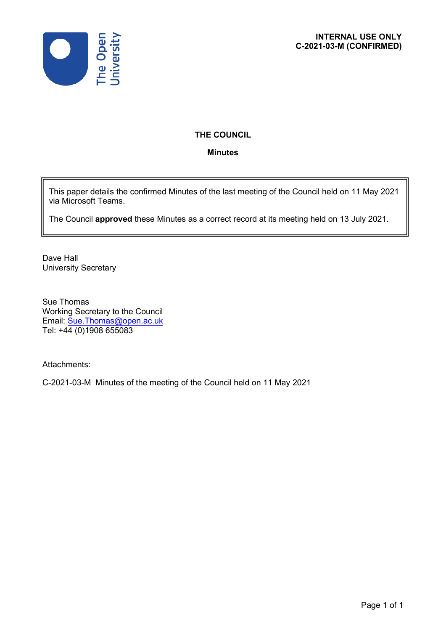

# **THE COUNCIL**

## **Minutes**

This paper details the confirmed Minutes of the last meeting of the Council held on 11 May 2021 via Microsoft Teams.

The Council **approved** these Minutes as a correct record at its meeting held on 13 July 2021.

Dave Hall University Secretary

Sue Thomas Working Secretary to the Council Email: [Sue.Thomas@open.ac.uk](mailto:Sue.Thomas@open.ac.uk) Tel: +44 (0)1908 655083

Attachments:

C-2021-03-M Minutes of the meeting of the Council held on 11 May 2021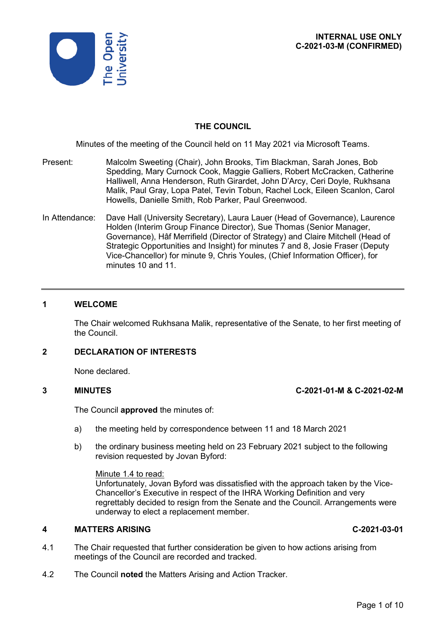

## **THE COUNCIL**

Minutes of the meeting of the Council held on 11 May 2021 via Microsoft Teams.

- Present: Malcolm Sweeting (Chair), John Brooks, Tim Blackman, Sarah Jones, Bob Spedding, Mary Curnock Cook, Maggie Galliers, Robert McCracken, Catherine Halliwell, Anna Henderson, Ruth Girardet, John D'Arcy, Ceri Doyle, Rukhsana Malik, Paul Gray, Lopa Patel, Tevin Tobun, Rachel Lock, Eileen Scanlon, Carol Howells, Danielle Smith, Rob Parker, Paul Greenwood.
- In Attendance: Dave Hall (University Secretary), Laura Lauer (Head of Governance), Laurence Holden (Interim Group Finance Director), Sue Thomas (Senior Manager, Governance), Hâf Merrifield (Director of Strategy) and Claire Mitchell (Head of Strategic Opportunities and Insight) for minutes 7 and 8, Josie Fraser (Deputy Vice-Chancellor) for minute 9, Chris Youles, (Chief Information Officer), for minutes 10 and 11.

### **1 WELCOME**

The Chair welcomed Rukhsana Malik, representative of the Senate, to her first meeting of the Council.

## **2 DECLARATION OF INTERESTS**

None declared.

### **3 MINUTES C-2021-01-M & C-2021-02-M**

The Council **approved** the minutes of:

- a) the meeting held by correspondence between 11 and 18 March 2021
- b) the ordinary business meeting held on 23 February 2021 subject to the following revision requested by Jovan Byford:

## Minute 1.4 to read:

Unfortunately, Jovan Byford was dissatisfied with the approach taken by the Vice-Chancellor's Executive in respect of the IHRA Working Definition and very regrettably decided to resign from the Senate and the Council. Arrangements were underway to elect a replacement member.

## **4 MATTERS ARISING C-2021-03-01**

- 4.1 The Chair requested that further consideration be given to how actions arising from meetings of the Council are recorded and tracked.
- 4.2 The Council **noted** the Matters Arising and Action Tracker.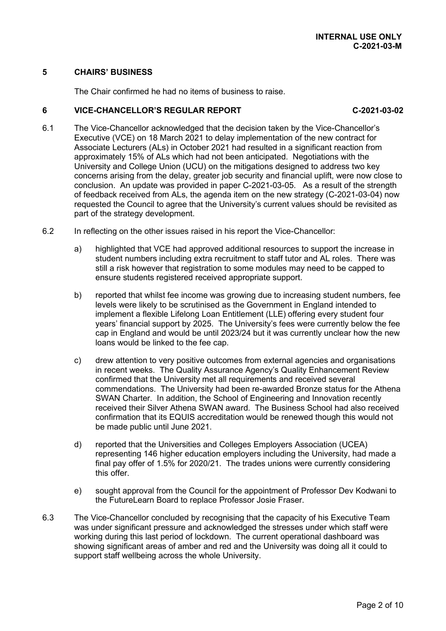## **5 CHAIRS' BUSINESS**

The Chair confirmed he had no items of business to raise.

## **6 VICE-CHANCELLOR'S REGULAR REPORT C-2021-03-02**

- 6.1 The Vice-Chancellor acknowledged that the decision taken by the Vice-Chancellor's Executive (VCE) on 18 March 2021 to delay implementation of the new contract for Associate Lecturers (ALs) in October 2021 had resulted in a significant reaction from approximately 15% of ALs which had not been anticipated. Negotiations with the University and College Union (UCU) on the mitigations designed to address two key concerns arising from the delay, greater job security and financial uplift, were now close to conclusion. An update was provided in paper C-2021-03-05. As a result of the strength of feedback received from ALs, the agenda item on the new strategy (C-2021-03-04) now requested the Council to agree that the University's current values should be revisited as part of the strategy development.
- 6.2 In reflecting on the other issues raised in his report the Vice-Chancellor:
	- a) highlighted that VCE had approved additional resources to support the increase in student numbers including extra recruitment to staff tutor and AL roles. There was still a risk however that registration to some modules may need to be capped to ensure students registered received appropriate support.
	- b) reported that whilst fee income was growing due to increasing student numbers, fee levels were likely to be scrutinised as the Government in England intended to implement a flexible Lifelong Loan Entitlement (LLE) offering every student four years' financial support by 2025. The University's fees were currently below the fee cap in England and would be until 2023/24 but it was currently unclear how the new loans would be linked to the fee cap.
	- c) drew attention to very positive outcomes from external agencies and organisations in recent weeks. The Quality Assurance Agency's Quality Enhancement Review confirmed that the University met all requirements and received several commendations. The University had been re-awarded Bronze status for the Athena SWAN Charter. In addition, the School of Engineering and Innovation recently received their Silver Athena SWAN award. The Business School had also received confirmation that its EQUIS accreditation would be renewed though this would not be made public until June 2021.
	- d) reported that the Universities and Colleges Employers Association (UCEA) representing 146 higher education employers including the University, had made a final pay offer of 1.5% for 2020/21. The trades unions were currently considering this offer.
	- e) sought approval from the Council for the appointment of Professor Dev Kodwani to the FutureLearn Board to replace Professor Josie Fraser.
- 6.3 The Vice-Chancellor concluded by recognising that the capacity of his Executive Team was under significant pressure and acknowledged the stresses under which staff were working during this last period of lockdown. The current operational dashboard was showing significant areas of amber and red and the University was doing all it could to support staff wellbeing across the whole University.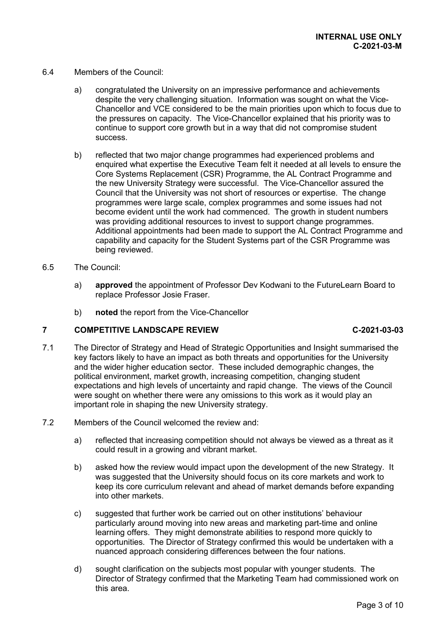- 6.4 Members of the Council:
	- a) congratulated the University on an impressive performance and achievements despite the very challenging situation. Information was sought on what the Vice-Chancellor and VCE considered to be the main priorities upon which to focus due to the pressures on capacity. The Vice-Chancellor explained that his priority was to continue to support core growth but in a way that did not compromise student success.
	- b) reflected that two major change programmes had experienced problems and enquired what expertise the Executive Team felt it needed at all levels to ensure the Core Systems Replacement (CSR) Programme, the AL Contract Programme and the new University Strategy were successful. The Vice-Chancellor assured the Council that the University was not short of resources or expertise. The change programmes were large scale, complex programmes and some issues had not become evident until the work had commenced. The growth in student numbers was providing additional resources to invest to support change programmes. Additional appointments had been made to support the AL Contract Programme and capability and capacity for the Student Systems part of the CSR Programme was being reviewed.
- 6.5 The Council:
	- a) **approved** the appointment of Professor Dev Kodwani to the FutureLearn Board to replace Professor Josie Fraser.
	- b) **noted** the report from the Vice-Chancellor

## **7 COMPETITIVE LANDSCAPE REVIEW C-2021-03-03**

- 7.1 The Director of Strategy and Head of Strategic Opportunities and Insight summarised the key factors likely to have an impact as both threats and opportunities for the University and the wider higher education sector. These included demographic changes, the political environment, market growth, increasing competition, changing student expectations and high levels of uncertainty and rapid change. The views of the Council were sought on whether there were any omissions to this work as it would play an important role in shaping the new University strategy.
- 7.2 Members of the Council welcomed the review and:
	- a) reflected that increasing competition should not always be viewed as a threat as it could result in a growing and vibrant market.
	- b) asked how the review would impact upon the development of the new Strategy. It was suggested that the University should focus on its core markets and work to keep its core curriculum relevant and ahead of market demands before expanding into other markets.
	- c) suggested that further work be carried out on other institutions' behaviour particularly around moving into new areas and marketing part-time and online learning offers. They might demonstrate abilities to respond more quickly to opportunities. The Director of Strategy confirmed this would be undertaken with a nuanced approach considering differences between the four nations.
	- d) sought clarification on the subjects most popular with younger students. The Director of Strategy confirmed that the Marketing Team had commissioned work on this area.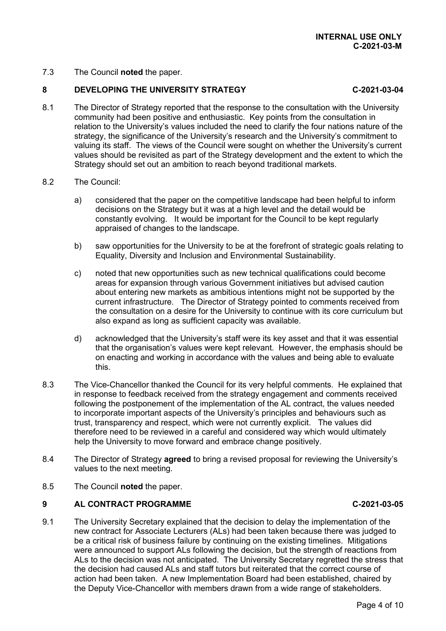7.3 The Council **noted** the paper.

## **8 DEVELOPING THE UNIVERSITY STRATEGY C-2021-03-04**

- 8.1 The Director of Strategy reported that the response to the consultation with the University community had been positive and enthusiastic. Key points from the consultation in relation to the University's values included the need to clarify the four nations nature of the strategy, the significance of the University's research and the University's commitment to valuing its staff. The views of the Council were sought on whether the University's current values should be revisited as part of the Strategy development and the extent to which the Strategy should set out an ambition to reach beyond traditional markets.
- 8.2 The Council:
	- a) considered that the paper on the competitive landscape had been helpful to inform decisions on the Strategy but it was at a high level and the detail would be constantly evolving. It would be important for the Council to be kept regularly appraised of changes to the landscape.
	- b) saw opportunities for the University to be at the forefront of strategic goals relating to Equality, Diversity and Inclusion and Environmental Sustainability.
	- c) noted that new opportunities such as new technical qualifications could become areas for expansion through various Government initiatives but advised caution about entering new markets as ambitious intentions might not be supported by the current infrastructure. The Director of Strategy pointed to comments received from the consultation on a desire for the University to continue with its core curriculum but also expand as long as sufficient capacity was available.
	- d) acknowledged that the University's staff were its key asset and that it was essential that the organisation's values were kept relevant. However, the emphasis should be on enacting and working in accordance with the values and being able to evaluate this.
- 8.3 The Vice-Chancellor thanked the Council for its very helpful comments. He explained that in response to feedback received from the strategy engagement and comments received following the postponement of the implementation of the AL contract, the values needed to incorporate important aspects of the University's principles and behaviours such as trust, transparency and respect, which were not currently explicit. The values did therefore need to be reviewed in a careful and considered way which would ultimately help the University to move forward and embrace change positively.
- 8.4 The Director of Strategy **agreed** to bring a revised proposal for reviewing the University's values to the next meeting.
- 8.5 The Council **noted** the paper.

## **9 AL CONTRACT PROGRAMME C-2021-03-05**

## 9.1 The University Secretary explained that the decision to delay the implementation of the new contract for Associate Lecturers (ALs) had been taken because there was judged to be a critical risk of business failure by continuing on the existing timelines. Mitigations were announced to support ALs following the decision, but the strength of reactions from ALs to the decision was not anticipated. The University Secretary regretted the stress that the decision had caused ALs and staff tutors but reiterated that the correct course of action had been taken. A new Implementation Board had been established, chaired by the Deputy Vice-Chancellor with members drawn from a wide range of stakeholders.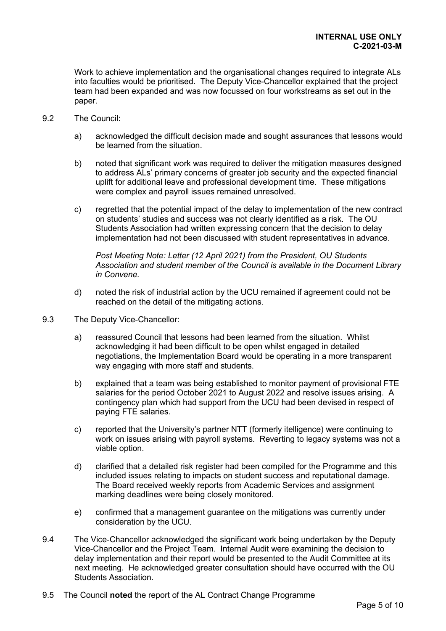Work to achieve implementation and the organisational changes required to integrate ALs into faculties would be prioritised. The Deputy Vice-Chancellor explained that the project team had been expanded and was now focussed on four workstreams as set out in the paper.

- 9.2 The Council:
	- a) acknowledged the difficult decision made and sought assurances that lessons would be learned from the situation.
	- b) noted that significant work was required to deliver the mitigation measures designed to address ALs' primary concerns of greater job security and the expected financial uplift for additional leave and professional development time. These mitigations were complex and payroll issues remained unresolved.
	- c) regretted that the potential impact of the delay to implementation of the new contract on students' studies and success was not clearly identified as a risk. The OU Students Association had written expressing concern that the decision to delay implementation had not been discussed with student representatives in advance.

*Post Meeting Note: Letter (12 April 2021) from the President, OU Students Association and student member of the Council is available in the Document Library in Convene.*

- d) noted the risk of industrial action by the UCU remained if agreement could not be reached on the detail of the mitigating actions.
- 9.3 The Deputy Vice-Chancellor:
	- a) reassured Council that lessons had been learned from the situation. Whilst acknowledging it had been difficult to be open whilst engaged in detailed negotiations, the Implementation Board would be operating in a more transparent way engaging with more staff and students.
	- b) explained that a team was being established to monitor payment of provisional FTE salaries for the period October 2021 to August 2022 and resolve issues arising. A contingency plan which had support from the UCU had been devised in respect of paying FTE salaries.
	- c) reported that the University's partner NTT (formerly itelligence) were continuing to work on issues arising with payroll systems. Reverting to legacy systems was not a viable option.
	- d) clarified that a detailed risk register had been compiled for the Programme and this included issues relating to impacts on student success and reputational damage. The Board received weekly reports from Academic Services and assignment marking deadlines were being closely monitored.
	- e) confirmed that a management guarantee on the mitigations was currently under consideration by the UCU.
- 9.4 The Vice-Chancellor acknowledged the significant work being undertaken by the Deputy Vice-Chancellor and the Project Team. Internal Audit were examining the decision to delay implementation and their report would be presented to the Audit Committee at its next meeting. He acknowledged greater consultation should have occurred with the OU Students Association.
- 9.5 The Council **noted** the report of the AL Contract Change Programme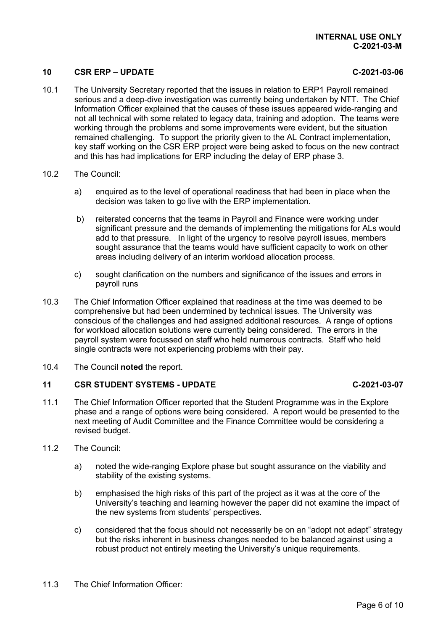## **10 CSR ERP – UPDATE C-2021-03-06**

- 10.1 The University Secretary reported that the issues in relation to ERP1 Payroll remained serious and a deep-dive investigation was currently being undertaken by NTT. The Chief Information Officer explained that the causes of these issues appeared wide-ranging and not all technical with some related to legacy data, training and adoption. The teams were working through the problems and some improvements were evident, but the situation remained challenging. To support the priority given to the AL Contract implementation, key staff working on the CSR ERP project were being asked to focus on the new contract and this has had implications for ERP including the delay of ERP phase 3.
- 10.2 The Council:
	- a) enquired as to the level of operational readiness that had been in place when the decision was taken to go live with the ERP implementation.
	- b) reiterated concerns that the teams in Payroll and Finance were working under significant pressure and the demands of implementing the mitigations for ALs would add to that pressure. In light of the urgency to resolve payroll issues, members sought assurance that the teams would have sufficient capacity to work on other areas including delivery of an interim workload allocation process.
	- c) sought clarification on the numbers and significance of the issues and errors in payroll runs
- 10.3 The Chief Information Officer explained that readiness at the time was deemed to be comprehensive but had been undermined by technical issues. The University was conscious of the challenges and had assigned additional resources. A range of options for workload allocation solutions were currently being considered. The errors in the payroll system were focussed on staff who held numerous contracts. Staff who held single contracts were not experiencing problems with their pay.
- 10.4 The Council **noted** the report.

## **11 CSR STUDENT SYSTEMS - UPDATE C-2021-03-07**

- 11.1 The Chief Information Officer reported that the Student Programme was in the Explore phase and a range of options were being considered. A report would be presented to the next meeting of Audit Committee and the Finance Committee would be considering a revised budget.
- 11.2 The Council:
	- a) noted the wide-ranging Explore phase but sought assurance on the viability and stability of the existing systems.
	- b) emphasised the high risks of this part of the project as it was at the core of the University's teaching and learning however the paper did not examine the impact of the new systems from students' perspectives.
	- c) considered that the focus should not necessarily be on an "adopt not adapt" strategy but the risks inherent in business changes needed to be balanced against using a robust product not entirely meeting the University's unique requirements.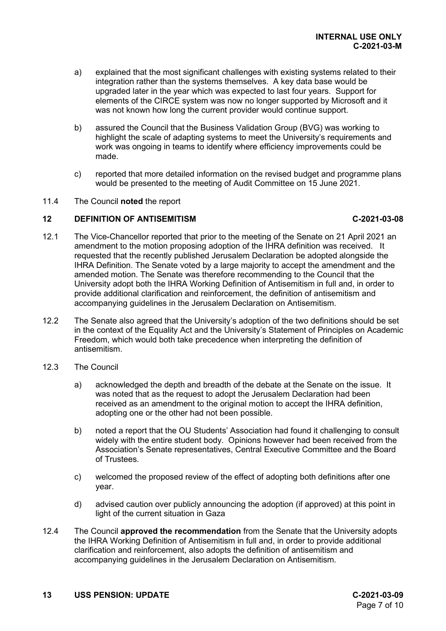- a) explained that the most significant challenges with existing systems related to their integration rather than the systems themselves. A key data base would be upgraded later in the year which was expected to last four years. Support for elements of the CIRCE system was now no longer supported by Microsoft and it was not known how long the current provider would continue support.
- b) assured the Council that the Business Validation Group (BVG) was working to highlight the scale of adapting systems to meet the University's requirements and work was ongoing in teams to identify where efficiency improvements could be made.
- c) reported that more detailed information on the revised budget and programme plans would be presented to the meeting of Audit Committee on 15 June 2021.
- 11.4 The Council **noted** the report

## **12 DEFINITION OF ANTISEMITISM C-2021-03-08**

- 12.1 The Vice-Chancellor reported that prior to the meeting of the Senate on 21 April 2021 an amendment to the motion proposing adoption of the IHRA definition was received. It requested that the recently published Jerusalem Declaration be adopted alongside the IHRA Definition. The Senate voted by a large majority to accept the amendment and the amended motion. The Senate was therefore recommending to the Council that the University adopt both the IHRA Working Definition of Antisemitism in full and, in order to provide additional clarification and reinforcement, the definition of antisemitism and accompanying guidelines in the Jerusalem Declaration on Antisemitism.
- 12.2 The Senate also agreed that the University's adoption of the two definitions should be set in the context of the Equality Act and the University's Statement of Principles on Academic Freedom, which would both take precedence when interpreting the definition of antisemitism.
- 12.3 The Council
	- a) acknowledged the depth and breadth of the debate at the Senate on the issue. It was noted that as the request to adopt the Jerusalem Declaration had been received as an amendment to the original motion to accept the IHRA definition, adopting one or the other had not been possible.
	- b) noted a report that the OU Students' Association had found it challenging to consult widely with the entire student body. Opinions however had been received from the Association's Senate representatives, Central Executive Committee and the Board of Trustees.
	- c) welcomed the proposed review of the effect of adopting both definitions after one year.
	- d) advised caution over publicly announcing the adoption (if approved) at this point in light of the current situation in Gaza
- 12.4 The Council **approved the recommendation** from the Senate that the University adopts the IHRA Working Definition of Antisemitism in full and, in order to provide additional clarification and reinforcement, also adopts the definition of antisemitism and accompanying guidelines in the Jerusalem Declaration on Antisemitism.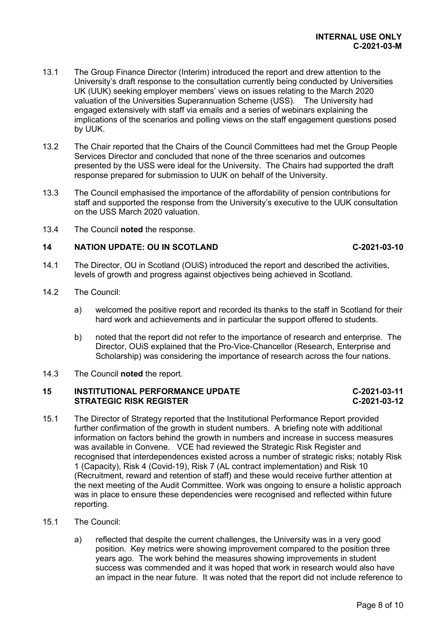- 13.1 The Group Finance Director (Interim) introduced the report and drew attention to the University's draft response to the consultation currently being conducted by Universities UK (UUK) seeking employer members' views on issues relating to the March 2020 valuation of the Universities Superannuation Scheme (USS). The University had engaged extensively with staff via emails and a series of webinars explaining the implications of the scenarios and polling views on the staff engagement questions posed by UUK.
- 13.2 The Chair reported that the Chairs of the Council Committees had met the Group People Services Director and concluded that none of the three scenarios and outcomes presented by the USS were ideal for the University. The Chairs had supported the draft response prepared for submission to UUK on behalf of the University.
- 13.3 The Council emphasised the importance of the affordability of pension contributions for staff and supported the response from the University's executive to the UUK consultation on the USS March 2020 valuation.
- 13.4 The Council **noted** the response.

## **14 NATION UPDATE: OU IN SCOTLAND C-2021-03-10**

- 14.1 The Director, OU in Scotland (OUiS) introduced the report and described the activities, levels of growth and progress against objectives being achieved in Scotland.
- 14.2 The Council:
	- a) welcomed the positive report and recorded its thanks to the staff in Scotland for their hard work and achievements and in particular the support offered to students.
	- b) noted that the report did not refer to the importance of research and enterprise. The Director, OUiS explained that the Pro-Vice-Chancellor (Research, Enterprise and Scholarship) was considering the importance of research across the four nations.
- 14.3 The Council **noted** the report.

## **15 INSTITUTIONAL PERFORMANCE UPDATE C-2021-03-11 STRATEGIC RISK REGISTER**

- 15.1 The Director of Strategy reported that the Institutional Performance Report provided further confirmation of the growth in student numbers. A briefing note with additional information on factors behind the growth in numbers and increase in success measures was available in Convene. VCE had reviewed the Strategic Risk Register and recognised that interdependences existed across a number of strategic risks; notably Risk 1 (Capacity), Risk 4 (Covid-19), Risk 7 (AL contract implementation) and Risk 10 (Recruitment, reward and retention of staff) and these would receive further attention at the next meeting of the Audit Committee. Work was ongoing to ensure a holistic approach was in place to ensure these dependencies were recognised and reflected within future reporting.
- 15.1 The Council:
	- a) reflected that despite the current challenges, the University was in a very good position. Key metrics were showing improvement compared to the position three years ago. The work behind the measures showing improvements in student success was commended and it was hoped that work in research would also have an impact in the near future. It was noted that the report did not include reference to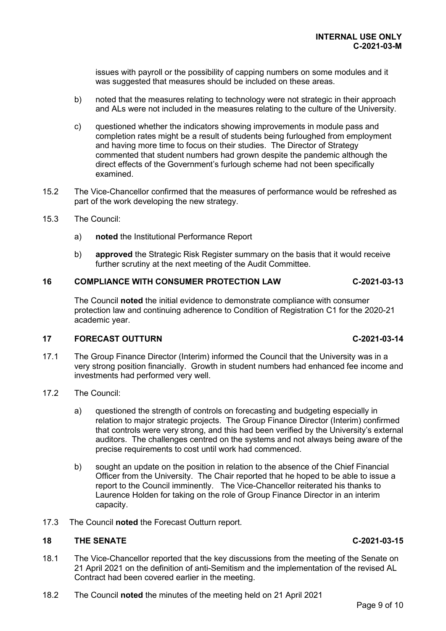issues with payroll or the possibility of capping numbers on some modules and it was suggested that measures should be included on these areas.

- b) noted that the measures relating to technology were not strategic in their approach and ALs were not included in the measures relating to the culture of the University.
- c) questioned whether the indicators showing improvements in module pass and completion rates might be a result of students being furloughed from employment and having more time to focus on their studies. The Director of Strategy commented that student numbers had grown despite the pandemic although the direct effects of the Government's furlough scheme had not been specifically examined.
- 15.2 The Vice-Chancellor confirmed that the measures of performance would be refreshed as part of the work developing the new strategy.
- 15.3 The Council:
	- a) **noted** the Institutional Performance Report
	- b) **approved** the Strategic Risk Register summary on the basis that it would receive further scrutiny at the next meeting of the Audit Committee.

## **16 COMPLIANCE WITH CONSUMER PROTECTION LAW C-2021-03-13**

The Council **noted** the initial evidence to demonstrate compliance with consumer protection law and continuing adherence to Condition of Registration C1 for the 2020-21 academic year.

### **17 FORECAST OUTTURN C-2021-03-14**

- 17.1 The Group Finance Director (Interim) informed the Council that the University was in a very strong position financially. Growth in student numbers had enhanced fee income and investments had performed very well.
- 17.2 The Council:
	- a) questioned the strength of controls on forecasting and budgeting especially in relation to major strategic projects. The Group Finance Director (Interim) confirmed that controls were very strong, and this had been verified by the University's external auditors. The challenges centred on the systems and not always being aware of the precise requirements to cost until work had commenced.
	- b) sought an update on the position in relation to the absence of the Chief Financial Officer from the University. The Chair reported that he hoped to be able to issue a report to the Council imminently. The Vice-Chancellor reiterated his thanks to Laurence Holden for taking on the role of Group Finance Director in an interim capacity.
- 17.3 The Council **noted** the Forecast Outturn report.

### **18 THE SENATE C-2021-03-15**

- 18.1 The Vice-Chancellor reported that the key discussions from the meeting of the Senate on 21 April 2021 on the definition of anti-Semitism and the implementation of the revised AL Contract had been covered earlier in the meeting.
- 18.2 The Council **noted** the minutes of the meeting held on 21 April 2021

#### Page 9 of 10